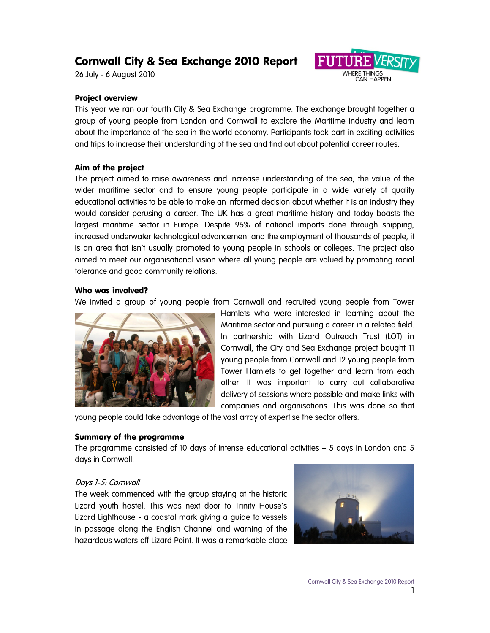# Cornwall City & Sea Exchange 2010 Report

26 July - 6 August 2010



## Project overview

This year we ran our fourth City & Sea Exchange programme. The exchange brought together a group of young people from London and Cornwall to explore the Maritime industry and learn about the importance of the sea in the world economy. Participants took part in exciting activities and trips to increase their understanding of the sea and find out about potential career routes.

#### Aim of the project

The project aimed to raise awareness and increase understanding of the sea, the value of the wider maritime sector and to ensure young people participate in a wide variety of quality educational activities to be able to make an informed decision about whether it is an industry they would consider perusing a career. The UK has a great maritime history and today boasts the largest maritime sector in Europe. Despite 95% of national imports done through shipping, increased underwater technological advancement and the employment of thousands of people, it is an area that isn't usually promoted to young people in schools or colleges. The project also aimed to meet our organisational vision where all young people are valued by promoting racial tolerance and good community relations.

#### Who was involved?

We invited a group of young people from Cornwall and recruited young people from Tower



Hamlets who were interested in learning about the Maritime sector and pursuing a career in a related field. In partnership with Lizard Outreach Trust (LOT) in Cornwall, the City and Sea Exchange project bought 11 young people from Cornwall and 12 young people from Tower Hamlets to get together and learn from each other. It was important to carry out collaborative delivery of sessions where possible and make links with companies and organisations. This was done so that

young people could take advantage of the vast array of expertise the sector offers.

#### Summary of the programme

The programme consisted of 10 days of intense educational activities – 5 days in London and 5 days in Cornwall.

## Days 1-5: Cornwall

The week commenced with the group staying at the historic Lizard youth hostel. This was next door to Trinity House's Lizard Lighthouse - a coastal mark giving a guide to vessels in passage along the English Channel and warning of the hazardous waters off Lizard Point. It was a remarkable place

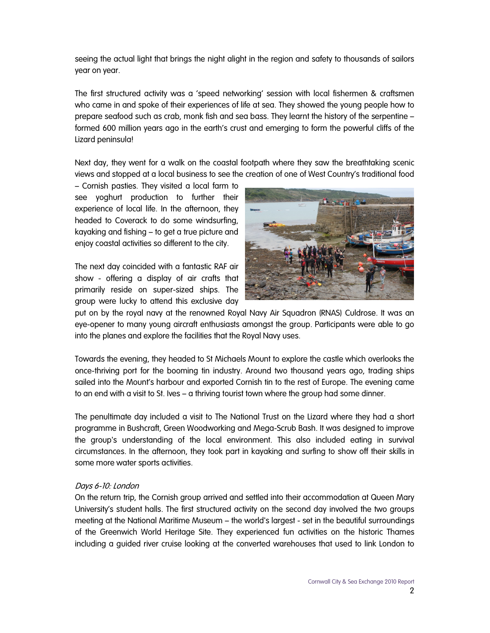seeing the actual light that brings the night alight in the region and safety to thousands of sailors year on year.

The first structured activity was a 'speed networking' session with local fishermen & craftsmen who came in and spoke of their experiences of life at sea. They showed the young people how to prepare seafood such as crab, monk fish and sea bass. They learnt the history of the serpentine – formed 600 million years ago in the earth's crust and emerging to form the powerful cliffs of the Lizard peninsula!

Next day, they went for a walk on the coastal footpath where they saw the breathtaking scenic views and stopped at a local business to see the creation of one of West Country's traditional food

– Cornish pasties. They visited a local farm to see yoghurt production to further their experience of local life. In the afternoon, they headed to Coverack to do some windsurfing, kayaking and fishing – to get a true picture and enjoy coastal activities so different to the city.

The next day coincided with a fantastic RAF air show - offering a display of air crafts that primarily reside on super-sized ships. The group were lucky to attend this exclusive day



put on by the royal navy at the renowned Royal Navy Air Squadron (RNAS) Culdrose. It was an eye-opener to many young aircraft enthusiasts amongst the group. Participants were able to go into the planes and explore the facilities that the Royal Navy uses.

Towards the evening, they headed to St Michaels Mount to explore the castle which overlooks the once-thriving port for the booming tin industry. Around two thousand years ago, trading ships sailed into the Mount's harbour and exported Cornish tin to the rest of Europe. The evening came to an end with a visit to St. Ives – a thriving tourist town where the group had some dinner.

The penultimate day included a visit to The National Trust on the Lizard where they had a short programme in Bushcraft, Green Woodworking and Mega-Scrub Bash. It was designed to improve the group's understanding of the local environment. This also included eating in survival circumstances. In the afternoon, they took part in kayaking and surfing to show off their skills in some more water sports activities.

## Days 6-10: London

On the return trip, the Cornish group arrived and settled into their accommodation at Queen Mary University's student halls. The first structured activity on the second day involved the two groups meeting at the National Maritime Museum – the world's largest - set in the beautiful surroundings of the Greenwich World Heritage Site. They experienced fun activities on the historic Thames including a guided river cruise looking at the converted warehouses that used to link London to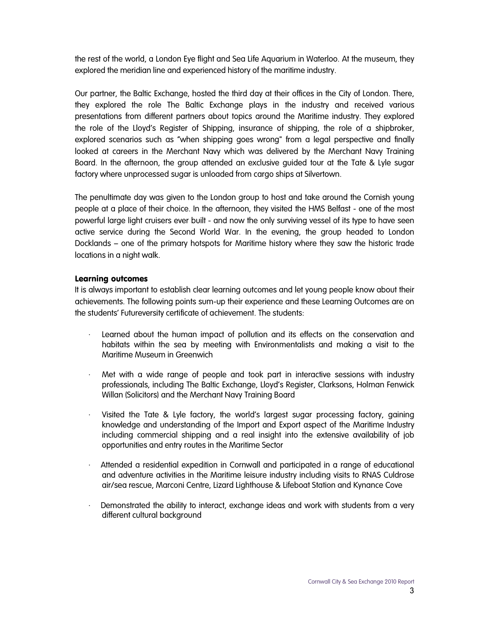the rest of the world, a London Eye flight and Sea Life Aquarium in Waterloo. At the museum, they explored the meridian line and experienced history of the maritime industry.

Our partner, the Baltic Exchange, hosted the third day at their offices in the City of London. There, they explored the role The Baltic Exchange plays in the industry and received various presentations from different partners about topics around the Maritime industry. They explored the role of the Lloyd's Register of Shipping, insurance of shipping, the role of a shipbroker, explored scenarios such as "when shipping goes wrong" from a legal perspective and finally looked at careers in the Merchant Navy which was delivered by the Merchant Navy Training Board. In the afternoon, the group attended an exclusive guided tour at the Tate & Lyle sugar factory where unprocessed sugar is unloaded from cargo ships at Silvertown.

The penultimate day was given to the London group to host and take around the Cornish young people at a place of their choice. In the afternoon, they visited the HMS Belfast - one of the most powerful large light cruisers ever built - and now the only surviving vessel of its type to have seen active service during the Second World War. In the evening, the group headed to London Docklands – one of the primary hotspots for Maritime history where they saw the historic trade locations in a night walk.

## Learning outcomes

It is always important to establish clear learning outcomes and let young people know about their achievements. The following points sum-up their experience and these Learning Outcomes are on the students' Futureversity certificate of achievement. The students:

- · Learned about the human impact of pollution and its effects on the conservation and habitats within the sea by meeting with Environmentalists and making a visit to the Maritime Museum in Greenwich
- · Met with a wide range of people and took part in interactive sessions with industry professionals, including The Baltic Exchange, Lloyd's Register, Clarksons, Holman Fenwick Willan (Solicitors) and the Merchant Navy Training Board
- Visited the Tate & Lyle factory, the world's largest sugar processing factory, gaining knowledge and understanding of the Import and Export aspect of the Maritime Industry including commercial shipping and a real insight into the extensive availability of job opportunities and entry routes in the Maritime Sector
- · Attended a residential expedition in Cornwall and participated in a range of educational and adventure activities in the Maritime leisure industry including visits to RNAS Culdrose air/sea rescue, Marconi Centre, Lizard Lighthouse & Lifeboat Station and Kynance Cove
- Demonstrated the ability to interact, exchange ideas and work with students from a very different cultural background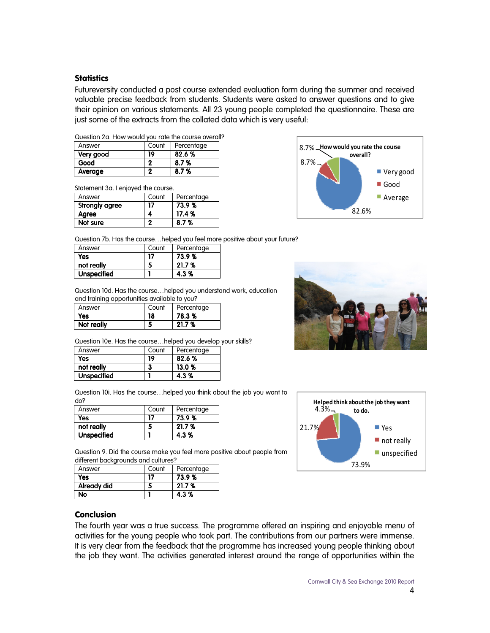## **Statistics**

Futureversity conducted a post course extended evaluation form during the summer and received valuable precise feedback from students. Students were asked to answer questions and to give their opinion on various statements. All 23 young people completed the questionnaire. These are just some of the extracts from the collated data which is very useful:

| Answer    | Count | Percentage |
|-----------|-------|------------|
| Very good | 19    | 82.6%      |
| Good      |       | 8.7%       |
| Average   |       | 8.7%       |

Statement 3a. I enjoyed the course.

| Answer         | Count | Percentage |
|----------------|-------|------------|
| Strongly agree | 17    | 73.9%      |
| Agree          |       | 17.4%      |
| Not sure       | o     | 8.7%       |



Question 7b. Has the course…helped you feel more positive about your future?

| Answer             | Count | Percentage |
|--------------------|-------|------------|
| Yes                | 17    | 73.9%      |
| not really         |       | 21.7 %     |
| <b>Unspecified</b> |       | 4.3%       |

Question 10d. Has the course…helped you understand work, education and training opportunities available to you?

| Answer     | Count | Percentage |
|------------|-------|------------|
| Yes        | 18    | 78.3 %     |
| Not really |       | 21.7%      |

Question 10e. Has the course…helped you develop your skills?

| Answer             | Count | Percentage |
|--------------------|-------|------------|
| Yes                | 19    | 82.6%      |
| not really         | 3     | 13.0%      |
| <b>Unspecified</b> |       | 4.3%       |

Question 10i. Has the course…helped you think about the job you want to do?

| Answer             | Count | Percentage |
|--------------------|-------|------------|
| Yes                | 17    | 73.9%      |
| not really         |       | 21.7%      |
| <b>Unspecified</b> |       | 4.3%       |

Question 9. Did the course make you feel more positive about people from different backgrounds and cultures?

| Answer      | Count | Percentage |
|-------------|-------|------------|
| Yes         | 17    | 73.9%      |
| Already did |       | 21.7%      |
| No          |       | 4.3%       |

# Conclusion

The fourth year was a true success. The programme offered an inspiring and enjoyable menu of activities for the young people who took part. The contributions from our partners were immense. It is very clear from the feedback that the programme has increased young people thinking about the job they want. The activities generated interest around the range of opportunities within the